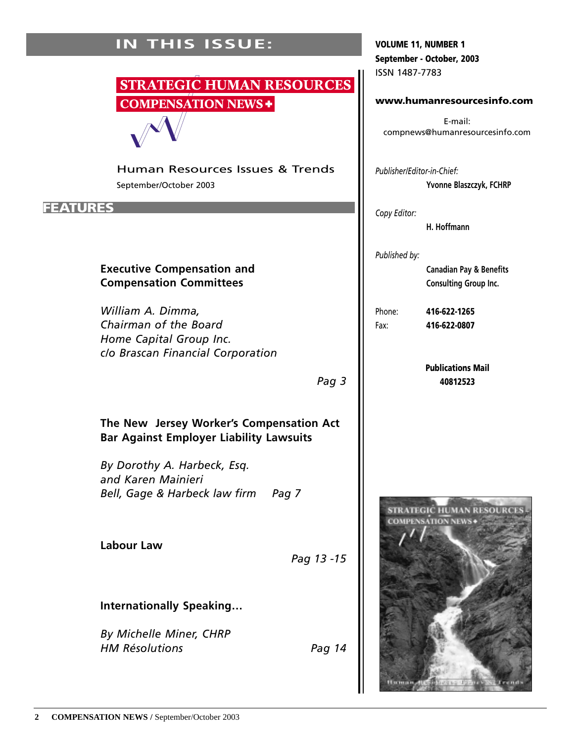# **IN THIS ISSUE: STRATEGIC HUMAN RESOURCES COMPENSATION NEWS +** Human Resources Issues & Trends September/October 2003 **FEATURES Executive Compensation and Compensation Committees** *William A. Dimma, Chairman of the Board Home Capital Group Inc. c/o Brascan Financial Corporation Pag 3* **The New Jersey Worker's Compensation Act Bar Against Employer Liability Lawsuits** *By Dorothy A. Harbeck, Esq. and Karen Mainieri Bell, Gage & Harbeck law firm Pag 7* **Labour Law**  *Pag 13 -15* **Internationally Speaking…** *By Michelle Miner, CHRP HM Résolutions Pag 14*

**VOLUME 11, NUMBER 1 September - October, 2003** ISSN 1487-7783

**www.humanresourcesinfo.com**

E-mail: compnews@humanresourcesinfo.com

*Publisher/Editor-in-Chief:* 

**Yvonne Blaszczyk, FCHRP**

*Copy Editor:* 

**H. Hoffmann**

*Published by:* 

**Canadian Pay & Benefits Consulting Group Inc.**

Phone: **416-622-1265**

Fax: **416-622-0807**

**Publications Mail 40812523**

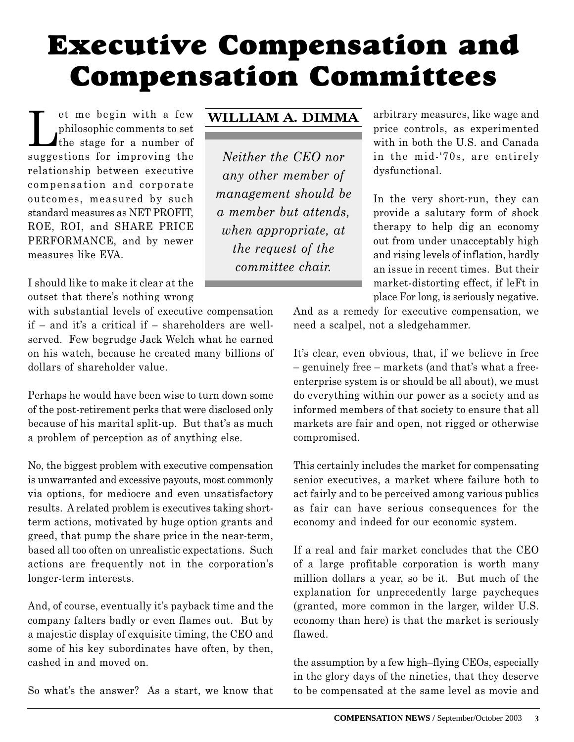# **Executive Compensation and Compensation Committees**

Let me begin with a few<br>philosophic comments to set<br>the stage for a number of philosophic comments to set suggestions for improving the relationship between executive compensation and corporate outcomes, measured by such standard measures as NET PROFIT, ROE, ROI, and SHARE PRICE PERFORMANCE, and by newer measures like EVA.

## **WILLIAM A. DIMMA**

*Neither the CEO nor any other member of management should be a member but attends, when appropriate, at the request of the committee chair.*

I should like to make it clear at the outset that there's nothing wrong

with substantial levels of executive compensation if – and it's a critical if – shareholders are wellserved. Few begrudge Jack Welch what he earned on his watch, because he created many billions of dollars of shareholder value.

Perhaps he would have been wise to turn down some of the post-retirement perks that were disclosed only because of his marital split-up. But that's as much a problem of perception as of anything else.

No, the biggest problem with executive compensation is unwarranted and excessive payouts, most commonly via options, for mediocre and even unsatisfactory results. A related problem is executives taking shortterm actions, motivated by huge option grants and greed, that pump the share price in the near-term, based all too often on unrealistic expectations. Such actions are frequently not in the corporation's longer-term interests.

And, of course, eventually it's payback time and the company falters badly or even flames out. But by a majestic display of exquisite timing, the CEO and some of his key subordinates have often, by then, cashed in and moved on.

So what's the answer? As a start, we know that

arbitrary measures, like wage and price controls, as experimented with in both the U.S. and Canada in the mid-'70s, are entirely dysfunctional.

In the very short-run, they can provide a salutary form of shock therapy to help dig an economy out from under unacceptably high and rising levels of inflation, hardly an issue in recent times. But their market-distorting effect, if leFt in place For long, is seriously negative.

And as a remedy for executive compensation, we need a scalpel, not a sledgehammer.

It's clear, even obvious, that, if we believe in free – genuinely free – markets (and that's what a freeenterprise system is or should be all about), we must do everything within our power as a society and as informed members of that society to ensure that all markets are fair and open, not rigged or otherwise compromised.

This certainly includes the market for compensating senior executives, a market where failure both to act fairly and to be perceived among various publics as fair can have serious consequences for the economy and indeed for our economic system.

If a real and fair market concludes that the CEO of a large profitable corporation is worth many million dollars a year, so be it. But much of the explanation for unprecedently large paycheques (granted, more common in the larger, wilder U.S. economy than here) is that the market is seriously flawed.

the assumption by a few high–flying CEOs, especially in the glory days of the nineties, that they deserve to be compensated at the same level as movie and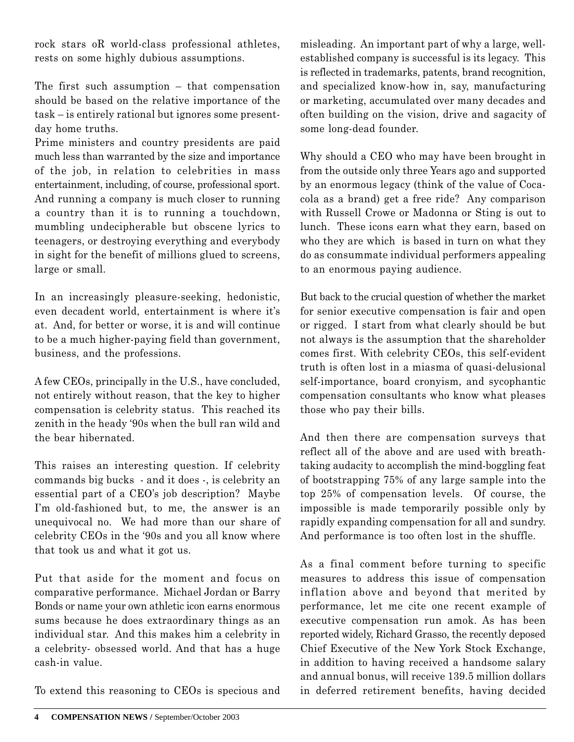rock stars oR world-class professional athletes, rests on some highly dubious assumptions.

The first such assumption – that compensation should be based on the relative importance of the task – is entirely rational but ignores some presentday home truths.

Prime ministers and country presidents are paid much less than warranted by the size and importance of the job, in relation to celebrities in mass entertainment, including, of course, professional sport. And running a company is much closer to running a country than it is to running a touchdown, mumbling undecipherable but obscene lyrics to teenagers, or destroying everything and everybody in sight for the benefit of millions glued to screens, large or small.

In an increasingly pleasure-seeking, hedonistic, even decadent world, entertainment is where it's at. And, for better or worse, it is and will continue to be a much higher-paying field than government, business, and the professions.

A few CEOs, principally in the U.S., have concluded, not entirely without reason, that the key to higher compensation is celebrity status. This reached its zenith in the heady '90s when the bull ran wild and the bear hibernated.

This raises an interesting question. If celebrity commands big bucks - and it does -, is celebrity an essential part of a CEO's job description? Maybe I'm old-fashioned but, to me, the answer is an unequivocal no. We had more than our share of celebrity CEOs in the '90s and you all know where that took us and what it got us.

Put that aside for the moment and focus on comparative performance. Michael Jordan or Barry Bonds or name your own athletic icon earns enormous sums because he does extraordinary things as an individual star. And this makes him a celebrity in a celebrity- obsessed world. And that has a huge cash-in value.

To extend this reasoning to CEOs is specious and

misleading. An important part of why a large, wellestablished company is successful is its legacy. This is reflected in trademarks, patents, brand recognition, and specialized know-how in, say, manufacturing or marketing, accumulated over many decades and often building on the vision, drive and sagacity of some long-dead founder.

Why should a CEO who may have been brought in from the outside only three Years ago and supported by an enormous legacy (think of the value of Cocacola as a brand) get a free ride? Any comparison with Russell Crowe or Madonna or Sting is out to lunch. These icons earn what they earn, based on who they are which is based in turn on what they do as consummate individual performers appealing to an enormous paying audience.

But back to the crucial question of whether the market for senior executive compensation is fair and open or rigged. I start from what clearly should be but not always is the assumption that the shareholder comes first. With celebrity CEOs, this self-evident truth is often lost in a miasma of quasi-delusional self-importance, board cronyism, and sycophantic compensation consultants who know what pleases those who pay their bills.

And then there are compensation surveys that reflect all of the above and are used with breathtaking audacity to accomplish the mind-boggling feat of bootstrapping 75% of any large sample into the top 25% of compensation levels. Of course, the impossible is made temporarily possible only by rapidly expanding compensation for all and sundry. And performance is too often lost in the shuffle.

As a final comment before turning to specific measures to address this issue of compensation inflation above and beyond that merited by performance, let me cite one recent example of executive compensation run amok. As has been reported widely, Richard Grasso, the recently deposed Chief Executive of the New York Stock Exchange, in addition to having received a handsome salary and annual bonus, will receive 139.5 million dollars in deferred retirement benefits, having decided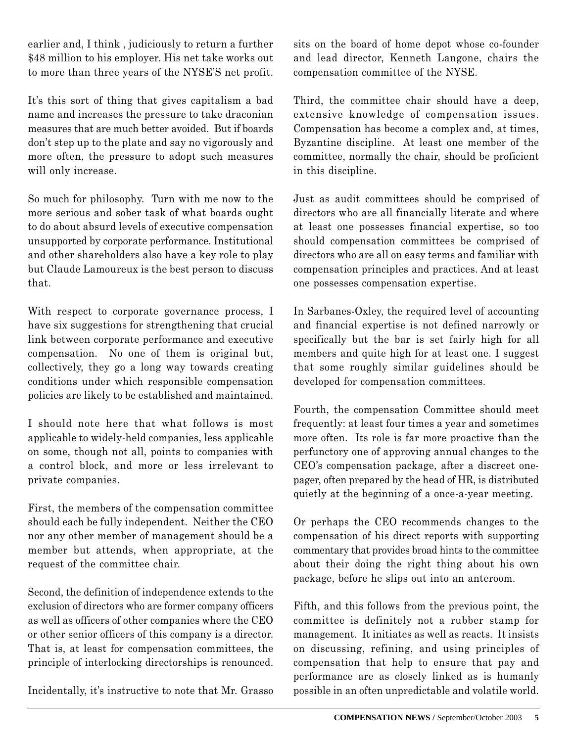earlier and, I think , judiciously to return a further \$48 million to his employer. His net take works out to more than three years of the NYSE'S net profit.

It's this sort of thing that gives capitalism a bad name and increases the pressure to take draconian measures that are much better avoided. But if boards don't step up to the plate and say no vigorously and more often, the pressure to adopt such measures will only increase.

So much for philosophy. Turn with me now to the more serious and sober task of what boards ought to do about absurd levels of executive compensation unsupported by corporate performance. Institutional and other shareholders also have a key role to play but Claude Lamoureux is the best person to discuss that.

With respect to corporate governance process, I have six suggestions for strengthening that crucial link between corporate performance and executive compensation. No one of them is original but, collectively, they go a long way towards creating conditions under which responsible compensation policies are likely to be established and maintained.

I should note here that what follows is most applicable to widely-held companies, less applicable on some, though not all, points to companies with a control block, and more or less irrelevant to private companies.

First, the members of the compensation committee should each be fully independent. Neither the CEO nor any other member of management should be a member but attends, when appropriate, at the request of the committee chair.

Second, the definition of independence extends to the exclusion of directors who are former company officers as well as officers of other companies where the CEO or other senior officers of this company is a director. That is, at least for compensation committees, the principle of interlocking directorships is renounced.

Incidentally, it's instructive to note that Mr. Grasso

sits on the board of home depot whose co-founder and lead director, Kenneth Langone, chairs the compensation committee of the NYSE.

Third, the committee chair should have a deep, extensive knowledge of compensation issues. Compensation has become a complex and, at times, Byzantine discipline. At least one member of the committee, normally the chair, should be proficient in this discipline.

Just as audit committees should be comprised of directors who are all financially literate and where at least one possesses financial expertise, so too should compensation committees be comprised of directors who are all on easy terms and familiar with compensation principles and practices. And at least one possesses compensation expertise.

In Sarbanes-Oxley, the required level of accounting and financial expertise is not defined narrowly or specifically but the bar is set fairly high for all members and quite high for at least one. I suggest that some roughly similar guidelines should be developed for compensation committees.

Fourth, the compensation Committee should meet frequently: at least four times a year and sometimes more often. Its role is far more proactive than the perfunctory one of approving annual changes to the CEO's compensation package, after a discreet onepager, often prepared by the head of HR, is distributed quietly at the beginning of a once-a-year meeting.

Or perhaps the CEO recommends changes to the compensation of his direct reports with supporting commentary that provides broad hints to the committee about their doing the right thing about his own package, before he slips out into an anteroom.

Fifth, and this follows from the previous point, the committee is definitely not a rubber stamp for management. It initiates as well as reacts. It insists on discussing, refining, and using principles of compensation that help to ensure that pay and performance are as closely linked as is humanly possible in an often unpredictable and volatile world.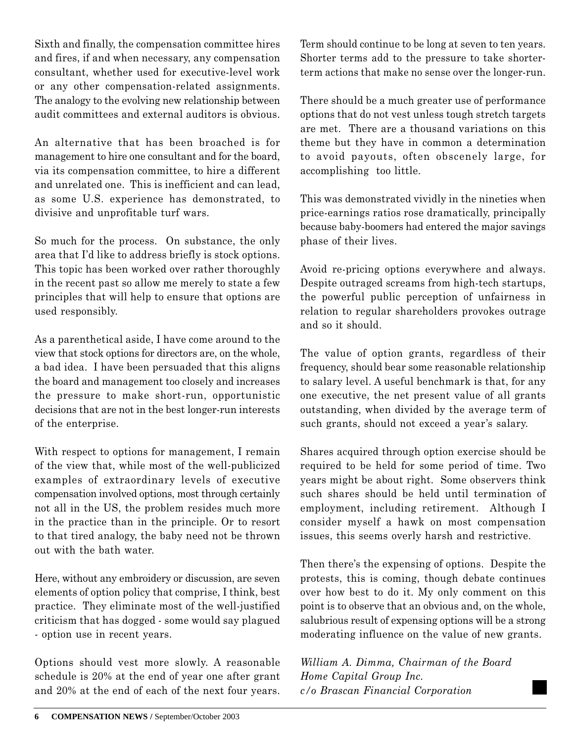Sixth and finally, the compensation committee hires and fires, if and when necessary, any compensation consultant, whether used for executive-level work or any other compensation-related assignments. The analogy to the evolving new relationship between audit committees and external auditors is obvious.

An alternative that has been broached is for management to hire one consultant and for the board, via its compensation committee, to hire a different and unrelated one. This is inefficient and can lead, as some U.S. experience has demonstrated, to divisive and unprofitable turf wars.

So much for the process. On substance, the only area that I'd like to address briefly is stock options. This topic has been worked over rather thoroughly in the recent past so allow me merely to state a few principles that will help to ensure that options are used responsibly.

As a parenthetical aside, I have come around to the view that stock options for directors are, on the whole, a bad idea. I have been persuaded that this aligns the board and management too closely and increases the pressure to make short-run, opportunistic decisions that are not in the best longer-run interests of the enterprise.

With respect to options for management, I remain of the view that, while most of the well-publicized examples of extraordinary levels of executive compensation involved options, most through certainly not all in the US, the problem resides much more in the practice than in the principle. Or to resort to that tired analogy, the baby need not be thrown out with the bath water.

Here, without any embroidery or discussion, are seven elements of option policy that comprise, I think, best practice. They eliminate most of the well-justified criticism that has dogged - some would say plagued - option use in recent years.

Options should vest more slowly. A reasonable schedule is 20% at the end of year one after grant and 20% at the end of each of the next four years. Term should continue to be long at seven to ten years. Shorter terms add to the pressure to take shorterterm actions that make no sense over the longer-run.

There should be a much greater use of performance options that do not vest unless tough stretch targets are met. There are a thousand variations on this theme but they have in common a determination to avoid payouts, often obscenely large, for accomplishing too little.

This was demonstrated vividly in the nineties when price-earnings ratios rose dramatically, principally because baby-boomers had entered the major savings phase of their lives.

Avoid re-pricing options everywhere and always. Despite outraged screams from high-tech startups, the powerful public perception of unfairness in relation to regular shareholders provokes outrage and so it should.

The value of option grants, regardless of their frequency, should bear some reasonable relationship to salary level. A useful benchmark is that, for any one executive, the net present value of all grants outstanding, when divided by the average term of such grants, should not exceed a year's salary.

Shares acquired through option exercise should be required to be held for some period of time. Two years might be about right. Some observers think such shares should be held until termination of employment, including retirement. Although I consider myself a hawk on most compensation issues, this seems overly harsh and restrictive.

Then there's the expensing of options. Despite the protests, this is coming, though debate continues over how best to do it. My only comment on this point is to observe that an obvious and, on the whole, salubrious result of expensing options will be a strong moderating influence on the value of new grants.

*William A. Dimma, Chairman of the Board Home Capital Group Inc. c/o Brascan Financial Corporation*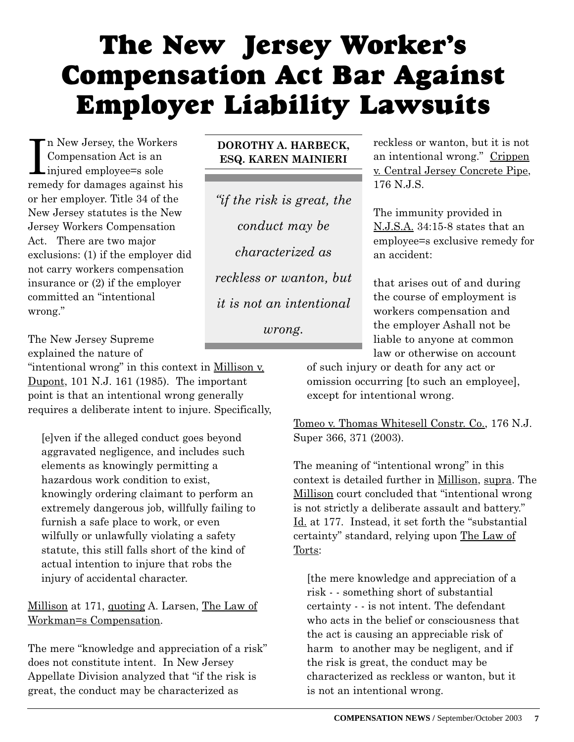# **The New Jersey Worker's Compensation Act Bar Against Employer Liability Lawsuits**

**DOROTHY A. HARBECK, ESQ. KAREN MAINIERI**

I n New Jersey, the Workers Compensation Act is an injured employee=s sole remedy for damages against his or her employer. Title 34 of the New Jersey statutes is the New Jersey Workers Compensation Act. There are two major exclusions: (1) if the employer did not carry workers compensation insurance or (2) if the employer committed an "intentional wrong."

*"if the risk is great, the conduct may be characterized as reckless or wanton, but it is not an intentional*

*wrong.*

The New Jersey Supreme explained the nature of

"intentional wrong" in this context in Millison v. Dupont, 101 N.J. 161 (1985). The important point is that an intentional wrong generally requires a deliberate intent to injure. Specifically,

[e]ven if the alleged conduct goes beyond aggravated negligence, and includes such elements as knowingly permitting a hazardous work condition to exist, knowingly ordering claimant to perform an extremely dangerous job, willfully failing to furnish a safe place to work, or even wilfully or unlawfully violating a safety statute, this still falls short of the kind of actual intention to injure that robs the injury of accidental character.

Millison at 171, quoting A. Larsen, The Law of Workman=s Compensation.

The mere "knowledge and appreciation of a risk" does not constitute intent. In New Jersey Appellate Division analyzed that "if the risk is great, the conduct may be characterized as

reckless or wanton, but it is not an intentional wrong." Crippen v. Central Jersey Concrete Pipe, 176 N.J.S.

The immunity provided in N.J.S.A. 34:15-8 states that an employee=s exclusive remedy for an accident:

that arises out of and during the course of employment is workers compensation and the employer Ashall not be liable to anyone at common law or otherwise on account

of such injury or death for any act or omission occurring [to such an employee], except for intentional wrong.

Tomeo v. Thomas Whitesell Constr. Co., 176 N.J. Super 366, 371 (2003).

The meaning of "intentional wrong" in this context is detailed further in Millison, supra. The Millison court concluded that "intentional wrong is not strictly a deliberate assault and battery." Id. at 177. Instead, it set forth the "substantial certainty" standard, relying upon The Law of Torts:

[the mere knowledge and appreciation of a risk - - something short of substantial certainty - - is not intent. The defendant who acts in the belief or consciousness that the act is causing an appreciable risk of harm to another may be negligent, and if the risk is great, the conduct may be characterized as reckless or wanton, but it is not an intentional wrong.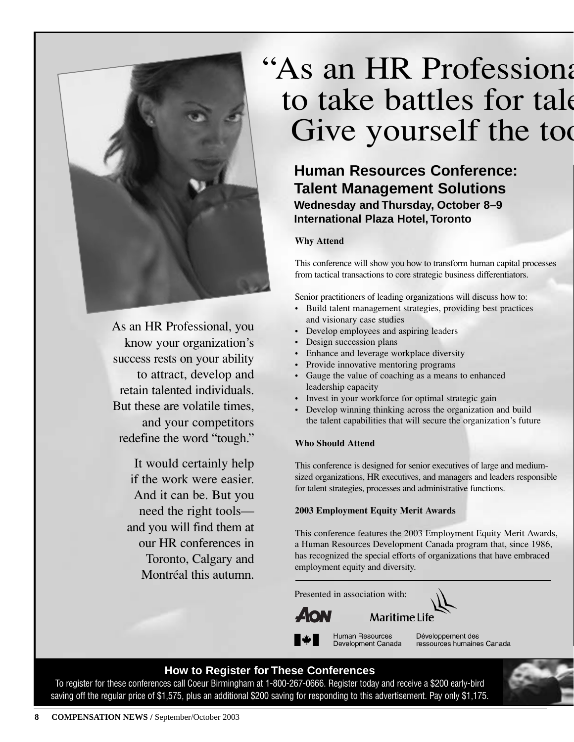

As an HR Professional, you know your organization's success rests on your ability to attract, develop and retain talented individuals. But these are volatile times, and your competitors redefine the word "tough."

> It would certainly help if the work were easier. And it can be. But you need the right tools and you will find them at our HR conferences in Toronto, Calgary and Montréal this autumn.

# "As an HR Professiona to take battles for tale Give yourself the too

## **Human Resources Conference: Talent Management Solutions Wednesday and Thursday, October 8–9 International Plaza Hotel, Toronto**

#### Why Attend

This conference will show you how to transform human capital processes from tactical transactions to core strategic business differentiators.

Senior practitioners of leading organizations will discuss how to:

- Build talent management strategies, providing best practices and visionary case studies
- Develop employees and aspiring leaders
- Design succession plans
- Enhance and leverage workplace diversity
- Provide innovative mentoring programs
- Gauge the value of coaching as a means to enhanced leadership capacity
- Invest in your workforce for optimal strategic gain
- Develop winning thinking across the organization and build the talent capabilities that will secure the organization's future

#### Who Should Attend

This conference is designed for senior executives of large and mediumsized organizations, HR executives, and managers and leaders responsible for talent strategies, processes and administrative functions.

#### 2003 Employment Equity Merit Awards

This conference features the 2003 Employment Equity Merit Awards, a Human Resources Development Canada program that, since 1986, has recognized the special efforts of organizations that have embraced employment equity and diversity.

Presented in association with:

**Maritime Life** 

Human Resources Development Canada

Développement des ressources humaines Canada

#### **How to Register for These Conferences**

To register for these conferences call Coeur Birmingham at 1-800-267-0666. Register today and receive a \$200 early-bird saving off the regular price of \$1,575, plus an additional \$200 saving for responding to this advertisement. Pay only \$1,175.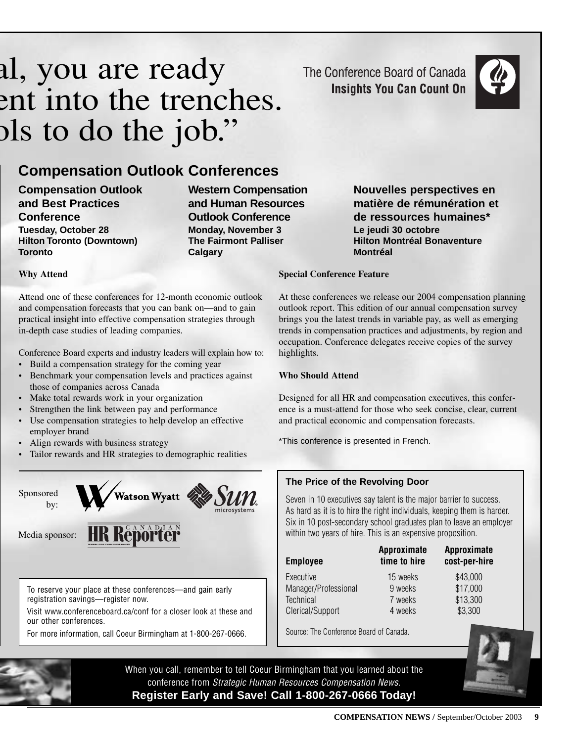# al, you are ready ent into the trenches. ols to do the job."

# **Compensation Outlook Conferences**

**Compensation Outlook and Best Practices Conference Tuesday, October 28 Hilton Toronto (Downtown) Toronto**

**Western Compensation and Human Resources Outlook Conference Monday, November 3 The Fairmont Palliser Calgary**

#### Why Attend

Attend one of these conferences for 12-month economic outlook and compensation forecasts that you can bank on—and to gain practical insight into effective compensation strategies through in-depth case studies of leading companies.

Conference Board experts and industry leaders will explain how to:

- Build a compensation strategy for the coming year
- Benchmark your compensation levels and practices against those of companies across Canada
- Make total rewards work in your organization
- Strengthen the link between pay and performance
- Use compensation strategies to help develop an effective employer brand
- Align rewards with business strategy
- Tailor rewards and HR strategies to demographic realities



Media sponsor:



Visit www.conferenceboard.ca/conf for a closer look at these and our other conferences.

For more information, call Coeur Birmingham at 1-800-267-0666.

The Conference Board of Canada **Insights You Can Count On** 



**Nouvelles perspectives en matière de rémunération et de ressources humaines\* Le jeudi 30 octobre Hilton Montréal Bonaventure Montréal**

#### Special Conference Feature

At these conferences we release our 2004 compensation planning outlook report. This edition of our annual compensation survey brings you the latest trends in variable pay, as well as emerging trends in compensation practices and adjustments, by region and occupation. Conference delegates receive copies of the survey highlights.

#### Who Should Attend

Designed for all HR and compensation executives, this conference is a must-attend for those who seek concise, clear, current and practical economic and compensation forecasts.

\*This conference is presented in French.

#### **The Price of the Revolving Door**

Seven in 10 executives say talent is the major barrier to success. As hard as it is to hire the right individuals, keeping them is harder. Six in 10 post-secondary school graduates plan to leave an employer within two years of hire. This is an expensive proposition.

| <b>Employee</b>      | <b>Approximate</b><br>time to hire | <b>Approximate</b><br>cost-per-hire |
|----------------------|------------------------------------|-------------------------------------|
| Executive            | 15 weeks                           | \$43,000                            |
| Manager/Professional | 9 weeks                            | \$17,000                            |
| Technical            | 7 weeks                            | \$13,300                            |
| Clerical/Support     | 4 weeks                            | \$3,300                             |

Source: The Conference Board of Canada.



When you call, remember to tell Coeur Birmingham that you learned about the conference from Strategic Human Resources Compensation News. **Register Early and Save! Call 1-800-267-0666 Today!**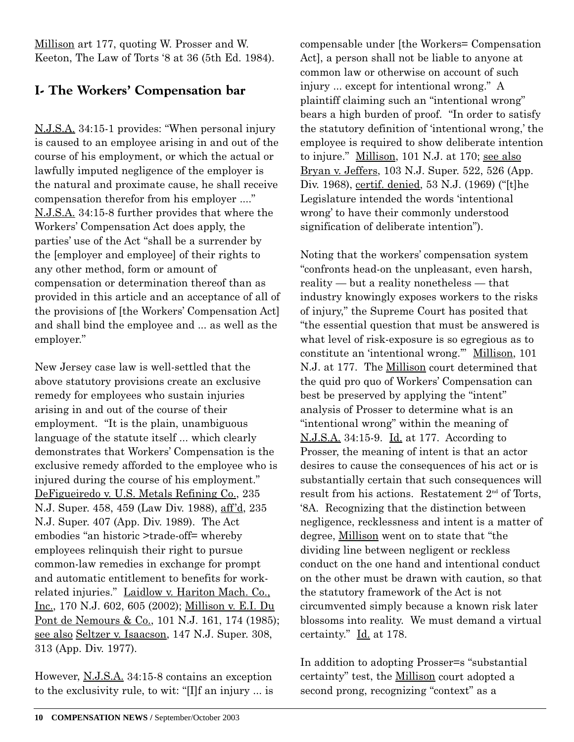Millison art 177, quoting W. Prosser and W. Keeton, The Law of Torts '8 at 36 (5th Ed. 1984).

## **I- The Workers' Compensation bar**

N.J.S.A. 34:15-1 provides: "When personal injury is caused to an employee arising in and out of the course of his employment, or which the actual or lawfully imputed negligence of the employer is the natural and proximate cause, he shall receive compensation therefor from his employer ...." N.J.S.A. 34:15-8 further provides that where the Workers' Compensation Act does apply, the parties' use of the Act "shall be a surrender by the [employer and employee] of their rights to any other method, form or amount of compensation or determination thereof than as provided in this article and an acceptance of all of the provisions of [the Workers' Compensation Act] and shall bind the employee and ... as well as the employer."

New Jersey case law is well-settled that the above statutory provisions create an exclusive remedy for employees who sustain injuries arising in and out of the course of their employment. "It is the plain, unambiguous language of the statute itself ... which clearly demonstrates that Workers' Compensation is the exclusive remedy afforded to the employee who is injured during the course of his employment." DeFigueiredo v. U.S. Metals Refining Co., 235 N.J. Super. 458, 459 (Law Div. 1988), aff'd, 235 N.J. Super. 407 (App. Div. 1989). The Act embodies "an historic >trade-off= whereby employees relinquish their right to pursue common-law remedies in exchange for prompt and automatic entitlement to benefits for workrelated injuries." Laidlow v. Hariton Mach. Co., Inc., 170 N.J. 602, 605 (2002); Millison v. E.I. Du Pont de Nemours & Co., 101 N.J. 161, 174 (1985); see also Seltzer v. Isaacson, 147 N.J. Super. 308, 313 (App. Div. 1977).

However, N.J.S.A. 34:15-8 contains an exception to the exclusivity rule, to wit: "[I]f an injury ... is compensable under [the Workers= Compensation Act], a person shall not be liable to anyone at common law or otherwise on account of such injury ... except for intentional wrong." A plaintiff claiming such an "intentional wrong" bears a high burden of proof. "In order to satisfy the statutory definition of 'intentional wrong,' the employee is required to show deliberate intention to injure." Millison, 101 N.J. at 170; see also Bryan v. Jeffers, 103 N.J. Super. 522, 526 (App. Div. 1968), certif. denied, 53 N.J. (1969) ("[t]he Legislature intended the words 'intentional wrong' to have their commonly understood signification of deliberate intention").

Noting that the workers' compensation system "confronts head-on the unpleasant, even harsh, reality — but a reality nonetheless — that industry knowingly exposes workers to the risks of injury," the Supreme Court has posited that "the essential question that must be answered is what level of risk-exposure is so egregious as to constitute an 'intentional wrong.'" Millison, 101 N.J. at 177. The Millison court determined that the quid pro quo of Workers' Compensation can best be preserved by applying the "intent" analysis of Prosser to determine what is an "intentional wrong" within the meaning of N.J.S.A. 34:15-9. Id. at 177. According to Prosser, the meaning of intent is that an actor desires to cause the consequences of his act or is substantially certain that such consequences will result from his actions. Restatement  $2<sup>nd</sup>$  of Torts, '8A. Recognizing that the distinction between negligence, recklessness and intent is a matter of degree, Millison went on to state that "the dividing line between negligent or reckless conduct on the one hand and intentional conduct on the other must be drawn with caution, so that the statutory framework of the Act is not circumvented simply because a known risk later blossoms into reality. We must demand a virtual certainty." Id. at 178.

In addition to adopting Prosser=s "substantial certainty" test, the Millison court adopted a second prong, recognizing "context" as a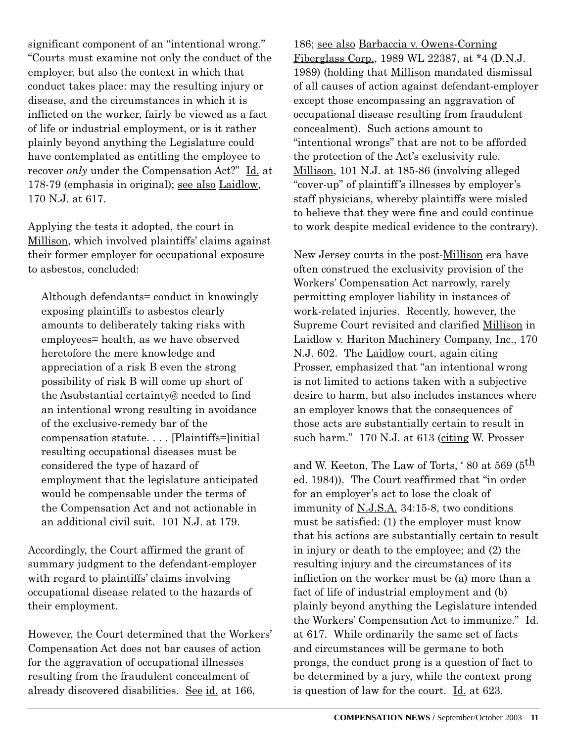significant component of an "intentional wrong." "Courts must examine not only the conduct of the employer, but also the context in which that conduct takes place: may the resulting injury or disease, and the circumstances in which it is inflicted on the worker, fairly be viewed as a fact of life or industrial employment, or is it rather plainly beyond anything the Legislature could have contemplated as entitling the employee to recover *only* under the Compensation Act?" Id. at 178-79 (emphasis in original); see also Laidlow, 170 N.J. at 617.

Applying the tests it adopted, the court in Millison, which involved plaintiffs' claims against their former employer for occupational exposure to asbestos, concluded:

Although defendants= conduct in knowingly exposing plaintiffs to asbestos clearly amounts to deliberately taking risks with employees= health, as we have observed heretofore the mere knowledge and appreciation of a risk B even the strong possibility of risk B will come up short of the Asubstantial certainty@ needed to find an intentional wrong resulting in avoidance of the exclusive-remedy bar of the compensation statute. . . . [Plaintiffs=]initial resulting occupational diseases must be considered the type of hazard of employment that the legislature anticipated would be compensable under the terms of the Compensation Act and not actionable in an additional civil suit. 101 N.J. at 179.

Accordingly, the Court affirmed the grant of summary judgment to the defendant-employer with regard to plaintiffs' claims involving occupational disease related to the hazards of their employment.

However, the Court determined that the Workers' Compensation Act does not bar causes of action for the aggravation of occupational illnesses resulting from the fraudulent concealment of already discovered disabilities. See id. at 166,

186; see also Barbaccia v. Owens-Corning Fiberglass Corp., 1989 WL 22387, at \*4 (D.N.J. 1989) (holding that Millison mandated dismissal of all causes of action against defendant-employer except those encompassing an aggravation of occupational disease resulting from fraudulent concealment). Such actions amount to "intentional wrongs" that are not to be afforded the protection of the Act's exclusivity rule. Millison, 101 N.J. at 185-86 (involving alleged "cover-up" of plaintiff's illnesses by employer's staff physicians, whereby plaintiffs were misled to believe that they were fine and could continue to work despite medical evidence to the contrary).

New Jersey courts in the post-Millison era have often construed the exclusivity provision of the Workers' Compensation Act narrowly, rarely permitting employer liability in instances of work-related injuries. Recently, however, the Supreme Court revisited and clarified Millison in Laidlow v. Hariton Machinery Company, Inc., 170 N.J. 602. The Laidlow court, again citing Prosser, emphasized that "an intentional wrong is not limited to actions taken with a subjective desire to harm, but also includes instances where an employer knows that the consequences of those acts are substantially certain to result in such harm." 170 N.J. at 613 (citing W. Prosser

and W. Keeton, The Law of Torts, ' 80 at 569 (5th ed. 1984)). The Court reaffirmed that "in order for an employer's act to lose the cloak of immunity of N.J.S.A. 34:15-8, two conditions must be satisfied: (1) the employer must know that his actions are substantially certain to result in injury or death to the employee; and (2) the resulting injury and the circumstances of its infliction on the worker must be (a) more than a fact of life of industrial employment and (b) plainly beyond anything the Legislature intended the Workers' Compensation Act to immunize." Id. at 617. While ordinarily the same set of facts and circumstances will be germane to both prongs, the conduct prong is a question of fact to be determined by a jury, while the context prong is question of law for the court. Id. at 623.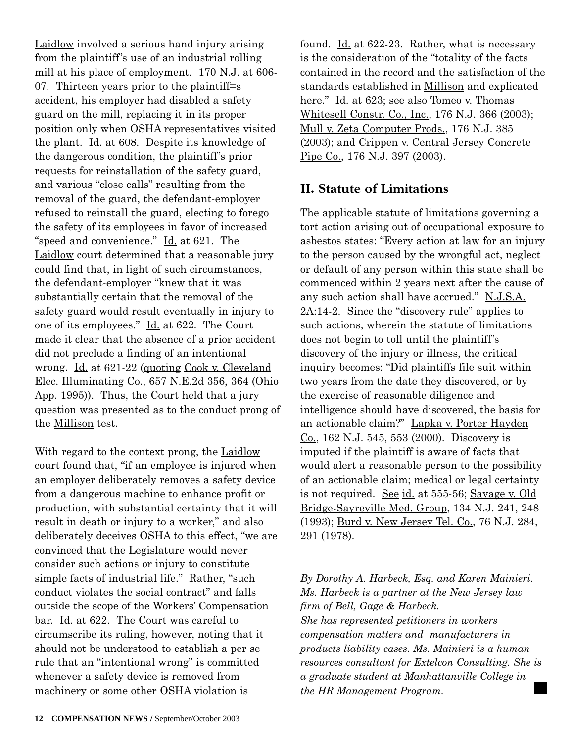Laidlow involved a serious hand injury arising from the plaintiff's use of an industrial rolling mill at his place of employment. 170 N.J. at 606- 07. Thirteen years prior to the plaintiff=s accident, his employer had disabled a safety guard on the mill, replacing it in its proper position only when OSHA representatives visited the plant. Id. at 608. Despite its knowledge of the dangerous condition, the plaintiff's prior requests for reinstallation of the safety guard, and various "close calls" resulting from the removal of the guard, the defendant-employer refused to reinstall the guard, electing to forego the safety of its employees in favor of increased "speed and convenience." Id. at 621. The Laidlow court determined that a reasonable jury could find that, in light of such circumstances, the defendant-employer "knew that it was substantially certain that the removal of the safety guard would result eventually in injury to one of its employees." Id. at 622. The Court made it clear that the absence of a prior accident did not preclude a finding of an intentional wrong. Id. at 621-22 (quoting Cook v. Cleveland Elec. Illuminating Co., 657 N.E.2d 356, 364 (Ohio App. 1995)). Thus, the Court held that a jury question was presented as to the conduct prong of the Millison test.

With regard to the context prong, the Laidlow court found that, "if an employee is injured when an employer deliberately removes a safety device from a dangerous machine to enhance profit or production, with substantial certainty that it will result in death or injury to a worker," and also deliberately deceives OSHA to this effect, "we are convinced that the Legislature would never consider such actions or injury to constitute simple facts of industrial life." Rather, "such conduct violates the social contract" and falls outside the scope of the Workers' Compensation bar. Id. at 622. The Court was careful to circumscribe its ruling, however, noting that it should not be understood to establish a per se rule that an "intentional wrong" is committed whenever a safety device is removed from machinery or some other OSHA violation is

found. Id. at 622-23. Rather, what is necessary is the consideration of the "totality of the facts contained in the record and the satisfaction of the standards established in Millison and explicated here." Id. at 623; see also Tomeo v. Thomas Whitesell Constr. Co., Inc., 176 N.J. 366 (2003); Mull v. Zeta Computer Prods., 176 N.J. 385 (2003); and Crippen v. Central Jersey Concrete Pipe Co., 176 N.J. 397 (2003).

### **II. Statute of Limitations**

The applicable statute of limitations governing a tort action arising out of occupational exposure to asbestos states: "Every action at law for an injury to the person caused by the wrongful act, neglect or default of any person within this state shall be commenced within 2 years next after the cause of any such action shall have accrued." N.J.S.A. 2A:14-2. Since the "discovery rule" applies to such actions, wherein the statute of limitations does not begin to toll until the plaintiff's discovery of the injury or illness, the critical inquiry becomes: "Did plaintiffs file suit within two years from the date they discovered, or by the exercise of reasonable diligence and intelligence should have discovered, the basis for an actionable claim?" Lapka v. Porter Hayden  $Co., 162$  N.J. 545, 553 (2000). Discovery is imputed if the plaintiff is aware of facts that would alert a reasonable person to the possibility of an actionable claim; medical or legal certainty is not required. See id. at 555-56; Savage v. Old Bridge-Sayreville Med. Group, 134 N.J. 241, 248 (1993); Burd v. New Jersey Tel. Co., 76 N.J. 284, 291 (1978).

*By Dorothy A. Harbeck, Esq. and Karen Mainieri. Ms. Harbeck is a partner at the New Jersey law firm of Bell, Gage & Harbeck. She has represented petitioners in workers compensation matters and manufacturers in products liability cases. Ms. Mainieri is a human resources consultant for Extelcon Consulting. She is a graduate student at Manhattanville College in the HR Management Program.*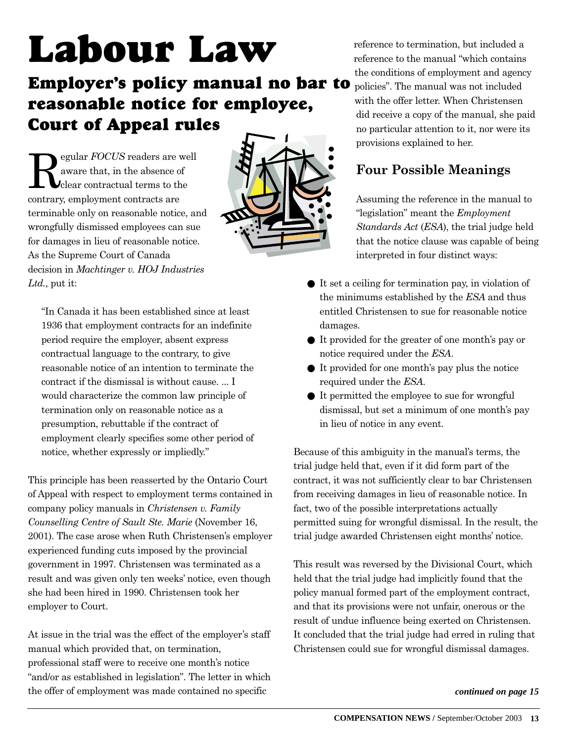# **Labour Law**

# **Employer's policy manual no bar to reasonable notice for employee, Court of Appeal rules**

egular *FOCUS* readers are well aware that, in the absence of **Clear contractual terms to the** contrary, employment contracts are terminable only on reasonable notice, and wrongfully dismissed employees can sue for damages in lieu of reasonable notice. As the Supreme Court of Canada decision in *Machtinger v. HOJ Industries Ltd.*, put it:



"In Canada it has been established since at least 1936 that employment contracts for an indefinite period require the employer, absent express contractual language to the contrary, to give reasonable notice of an intention to terminate the contract if the dismissal is without cause. ... I would characterize the common law principle of termination only on reasonable notice as a presumption, rebuttable if the contract of employment clearly specifies some other period of notice, whether expressly or impliedly."

This principle has been reasserted by the Ontario Court of Appeal with respect to employment terms contained in company policy manuals in *Christensen v. Family Counselling Centre of Sault Ste. Marie* (November 16, 2001). The case arose when Ruth Christensen's employer experienced funding cuts imposed by the provincial government in 1997. Christensen was terminated as a result and was given only ten weeks' notice, even though she had been hired in 1990. Christensen took her employer to Court.

At issue in the trial was the effect of the employer's staff manual which provided that, on termination, professional staff were to receive one month's notice "and/or as established in legislation". The letter in which the offer of employment was made contained no specific

reference to termination, but included a reference to the manual "which contains the conditions of employment and agency

policies". The manual was not included with the offer letter. When Christensen did receive a copy of the manual, she paid no particular attention to it, nor were its provisions explained to her.

## **Four Possible Meanings**

Assuming the reference in the manual to "legislation" meant the *Employment Standards Act* (*ESA*), the trial judge held that the notice clause was capable of being interpreted in four distinct ways:

- It set a ceiling for termination pay, in violation of the minimums established by the *ESA* and thus entitled Christensen to sue for reasonable notice damages.
- It provided for the greater of one month's pay or notice required under the *ESA*.
- It provided for one month's pay plus the notice required under the *ESA*.
- It permitted the employee to sue for wrongful dismissal, but set a minimum of one month's pay in lieu of notice in any event.

Because of this ambiguity in the manual's terms, the trial judge held that, even if it did form part of the contract, it was not sufficiently clear to bar Christensen from receiving damages in lieu of reasonable notice. In fact, two of the possible interpretations actually permitted suing for wrongful dismissal. In the result, the trial judge awarded Christensen eight months' notice.

This result was reversed by the Divisional Court, which held that the trial judge had implicitly found that the policy manual formed part of the employment contract, and that its provisions were not unfair, onerous or the result of undue influence being exerted on Christensen. It concluded that the trial judge had erred in ruling that Christensen could sue for wrongful dismissal damages.

*continued on page 15*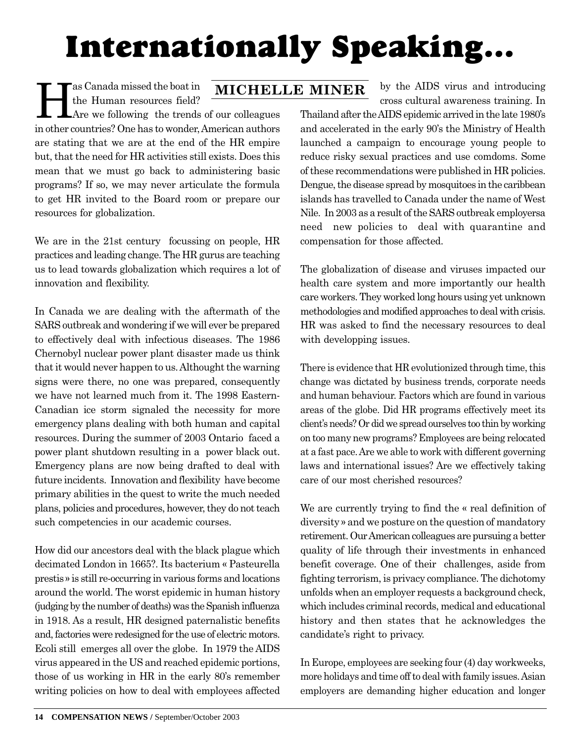# **Internationally Speaking…**

**Has Canada missed the boat in<br>the Human resources field?**<br>in other countries? One has to worder the Human resources field? Are we following the trends of our colleagues in other countries? One has to wonder, American authors are stating that we are at the end of the HR empire but, that the need for HR activities still exists. Does this mean that we must go back to administering basic programs? If so, we may never articulate the formula to get HR invited to the Board room or prepare our resources for globalization. **MICHELLE MINER**

We are in the 21st century focussing on people, HR practices and leading change. The HR gurus are teaching us to lead towards globalization which requires a lot of innovation and flexibility.

In Canada we are dealing with the aftermath of the SARS outbreak and wondering if we will ever be prepared to effectively deal with infectious diseases. The 1986 Chernobyl nuclear power plant disaster made us think that it would never happen to us. Althought the warning signs were there, no one was prepared, consequently we have not learned much from it. The 1998 Eastern-Canadian ice storm signaled the necessity for more emergency plans dealing with both human and capital resources. During the summer of 2003 Ontario faced a power plant shutdown resulting in a power black out. Emergency plans are now being drafted to deal with future incidents. Innovation and flexibility have become primary abilities in the quest to write the much needed plans, policies and procedures, however, they do not teach such competencies in our academic courses.

How did our ancestors deal with the black plague which decimated London in 1665?. Its bacterium « Pasteurella prestis » is still re-occurring in various forms and locations around the world. The worst epidemic in human history (judging by the number of deaths) was the Spanish influenza in 1918. As a result, HR designed paternalistic benefits and, factories were redesigned for the use of electric motors. Ecoli still emerges all over the globe. In 1979 the AIDS virus appeared in the US and reached epidemic portions, those of us working in HR in the early 80's remember writing policies on how to deal with employees affected by the AIDS virus and introducing cross cultural awareness training. In

Thailand after the AIDS epidemic arrived in the late 1980's and accelerated in the early 90's the Ministry of Health launched a campaign to encourage young people to reduce risky sexual practices and use comdoms. Some of these recommendations were published in HR policies. Dengue, the disease spread by mosquitoes in the caribbean islands has travelled to Canada under the name of West Nile. In 2003 as a result of the SARS outbreak employersa need new policies to deal with quarantine and compensation for those affected.

The globalization of disease and viruses impacted our health care system and more importantly our health care workers. They worked long hours using yet unknown methodologies and modified approaches to deal with crisis. HR was asked to find the necessary resources to deal with developping issues.

There is evidence that HR evolutionized through time, this change was dictated by business trends, corporate needs and human behaviour. Factors which are found in various areas of the globe. Did HR programs effectively meet its client's needs? Or did we spread ourselves too thin by working on too many new programs? Employees are being relocated at a fast pace. Are we able to work with different governing laws and international issues? Are we effectively taking care of our most cherished resources?

We are currently trying to find the « real definition of diversity » and we posture on the question of mandatory retirement. Our American colleagues are pursuing a better quality of life through their investments in enhanced benefit coverage. One of their challenges, aside from fighting terrorism, is privacy compliance. The dichotomy unfolds when an employer requests a background check, which includes criminal records, medical and educational history and then states that he acknowledges the candidate's right to privacy.

In Europe, employees are seeking four (4) day workweeks, more holidays and time off to deal with family issues. Asian employers are demanding higher education and longer